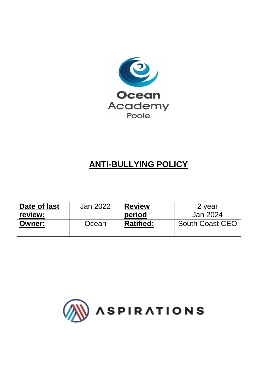

# **ANTI-BULLYING POLICY**

| Date of last  | Jan 2022 | <b>Review</b>    | 2 year                 |
|---------------|----------|------------------|------------------------|
| review:       |          | period           | Jan 2024               |
| <b>Owner:</b> | Ocean    | <b>Ratified:</b> | <b>South Coast CEO</b> |
|               |          |                  |                        |

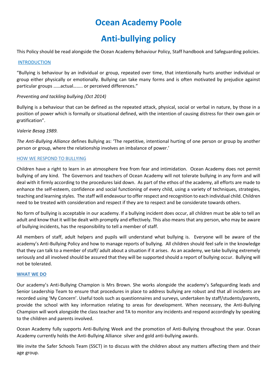# **Ocean Academy Poole**

# **Anti-bullying policy**

This Policy should be read alongside the Ocean Academy Behaviour Policy, Staff handbook and Safeguarding policies.

## **INTRODUCTION**

"Bullying is behaviour by an individual or group, repeated over time, that intentionally hurts another individual or group either physically or emotionally. Bullying can take many forms and is often motivated by prejudice against particular groups ……actual…….. or perceived differences."

# *Preventing and tackling bullying (Oct 2014)*

Bullying is a behaviour that can be defined as the repeated attack, physical, social or verbal in nature, by those in a position of power which is formally or situational defined, with the intention of causing distress for their own gain or gratification".

## *Valerie Besag 1989.*

*The Anti-Bullying Alliance* defines Bullying as: 'The repetitive, intentional hurting of one person or group by another person or group, where the relationship involves an imbalance of power.'

# HOW WE RESPOND TO BULLYING

Children have a right to learn in an atmosphere free from fear and intimidation. Ocean Academy does not permit bullying of any kind. The Governors and teachers of Ocean Academy will not tolerate bullying in any form and will deal with it firmly according to the procedures laid down. As part of the ethos of the academy, all efforts are made to enhance the self-esteem, confidence and social functioning of every child, using a variety of techniques, strategies, teaching and learning styles. The staff will endeavour to offer respect and recognition to each individual child. Children need to be treated with consideration and respect if they are to respect and be considerate towards others.

No form of bullying is acceptable in our academy. If a bullying incident does occur, all children must be able to tell an adult and know that it will be dealt with promptly and effectively. This also means that any person, who may be aware of bullying incidents, has the responsibility to tell a member of staff.

All members of staff, adult helpers and pupils will understand what bullying is. Everyone will be aware of the academy's Anti-Bullying Policy and how to manage reports of bullying. All children should feel safe in the knowledge that they can talk to a member of staff/ adult about a situation if it arises. As an academy, we take bullying extremely seriously and all involved should be assured that they will be supported should a report of bullying occur. Bullying will not be tolerated.

### **WHAT WE DO**

Our academy's Anti-Bullying Champion is Mrs Brown. She works alongside the academy's Safeguarding leads and Senior Leadership Team to ensure that procedures in place to address bullying are robust and that all incidents are recorded using 'My Concern'. Useful tools such as questionnaires and surveys, undertaken by staff/students/parents, provide the school with key information relating to areas for development. When necessary, the Anti-Bullying Champion will work alongside the class teacher and TA to monitor any incidents and respond accordingly by speaking to the children and parents involved.

Ocean Academy fully supports Anti-Bullying Week and the promotion of Anti-Bullying throughout the year. Ocean Academy currently holds the Anti-Bullying Alliance silver and gold anti-bullying awards.

We invite the Safer Schools Team (SSCT) in to discuss with the children about any matters affecting them and their age group.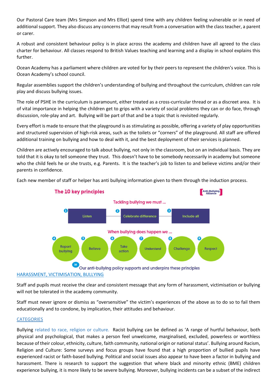Our Pastoral Care team (Mrs Simpson and Mrs Elliot) spend time with any children feeling vulnerable or in need of additional support. They also discuss any concerns that may result from a conversation with the class teacher, a parent or carer.

A robust and consistent behaviour policy is in place across the academy and children have all agreed to the class charter for behaviour. All classes respond to British Values teaching and learning and a display in school explains this further.

Ocean Academy has a parliament where children are voted for by their peers to represent the children's voice. This is Ocean Academy's school council.

Regular assemblies support the children's understanding of bullying and throughout the curriculum, children can role play and discuss bullying issues.

The role of PSHE in the curriculum is paramount, either treated as a cross-curricular thread or as a discreet area. It is of vital importance in helping the children get to grips with a variety of social problems they can or do face, through discussion, role-play and art. Bullying will be part of that and be a topic that is revisited regularly.

Every effort is made to ensure that the playground is as stimulating as possible, offering a variety of play opportunities and structured supervision of high-risk areas, such as the toilets or "corners" of the playground. All staff are offered additional training on bullying and how to deal with it, and the best deployment of their services is planned.

Children are actively encouraged to talk about bullying, not only in the classroom, but on an individual basis. They are told that it is okay to tell someone they trust. This doesn't have to be somebody necessarily in academy but someone who the child feels he or she trusts, e.g. Parents. It is the teacher's job to listen to and believe victims and/or their parents in confidence.

Each new member of staff or helper has anti bullying information given to them through the induction process.



Staff and pupils must receive the clear and consistent message that any form of harassment, victimisation or bullying will not be tolerated in the academy community.

Staff must never ignore or dismiss as "oversensitive" the victim's experiences of the above as to do so to fail them educationally and to condone, by implication, their attitudes and behaviour.

### **CATEGORIES**

Bullying related to race, religion or culture. Racist bullying can be defined as 'A range of hurtful behaviour, both physical and psychological, that makes a person feel unwelcome, marginalised, excluded, powerless or worthless because of their colour, ethnicity, culture, faith community, national origin or national status'. Bullying around Racism, Religion and Culture: Some surveys and focus groups have found that a high proportion of bullied pupils have experienced racist or faith-based bullying. Political and social issues also appear to have been a factor in bullying and harassment. There is research to support the suggestion that where black and minority ethnic (BME) children experience bullying, it is more likely to be severe bullying. Moreover, bullying incidents can be a subset of the indirect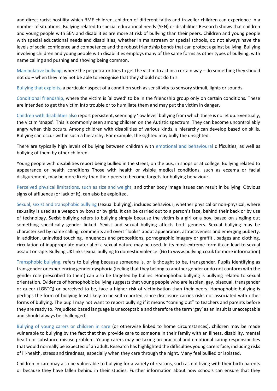and direct racist hostility which BME children, children of different faiths and traveller children can experience in a number of situations. Bullying related to special educational needs (SEN) or disabilities Research shows that children and young people with SEN and disabilities are more at risk of bullying than their peers. Children and young people with special educational needs and disabilities, whether in mainstream or special schools, do not always have the levels of social confidence and competence and the robust friendship bonds that can protect against bullying. Bullying involving children and young people with disabilities employs many of the same forms as other types of bullying, with name calling and pushing and shoving being common.

Manipulative bullying, where the perpetrator tries to get the victim to act in a certain way – do something they should not do – when they may not be able to recognise that they should not do this.

Bullying that exploits, a particular aspect of a condition such as sensitivity to sensory stimuli, lights or sounds.

Conditional friendship, where the victim is 'allowed' to be in the friendship group only on certain conditions. These are intended to get the victim into trouble or to humiliate them and may put the victim in danger.

Children with disabilities also report persistent, seemingly 'low level' bullying from which there is no let up. Eventually, the victim 'snaps'. This is commonly seen among children on the Autistic spectrum. They can become uncontrollably angry when this occurs. Among children with disabilities of various kinds, a hierarchy can develop based on skills. Bullying can occur within such a hierarchy. For example, the sighted may bully the unsighted.

There are typically high levels of bullying between children with emotional and behavioural difficulties, as well as bullying of them by other children.

Young people with disabilities report being bullied in the street, on the bus, in shops or at college. Bullying related to appearance or health conditions Those with health or visible medical conditions, such as eczema or facial disfigurement, may be more likely than their peers to become targets for bullying behaviour.

Perceived physical limitations, such as size and weight, and other body image issues can result in bullying. Obvious signs of affluence (or lack of it), can also be exploited.

Sexual, sexist and transphobic bullying (sexual bullying), includes behaviour, whether physical or non-physical, where sexuality is used as a weapon by boys or by girls. It can be carried out to a person's face, behind their back or by use of technology. Sexist bullying refers to bullying simply because the victim is a girl or a boy, based on singling out something specifically gender linked. Sexist and sexual bullying affects both genders. Sexual bullying may be characterised by name calling, comments and overt "looks" about appearance, attractiveness and emerging puberty. In addition, uninvited touching, innuendos and propositions, pornographic imagery or graffiti, badges and clothing, circulation of inappropriate material of a sexual nature may be used. In its most extreme form it can lead to sexual assault or rape. Bullying UK links sexual bullying to domestic violence. (Go to www.bullying.co.uk for more information)

Transphobic bullying, refers to bullying because someone is, or is thought to be, transgender. Pupils identifying as transgender or experiencing gender dysphoria (feeling that they belong to another gender or do not conform with the gender role prescribed to them) can also be targeted by bullies. Homophobic bullying is bullying related to sexual orientation. Evidence of homophobic bullying suggests that young people who are lesbian, gay, bisexual, transgender or queer (LGBTQ) or perceived to be, face a higher risk of victimisation than their peers. Homophobic bullying is perhaps the form of bullying least likely to be self-reported, since disclosure carries risks not associated with other forms of bullying. The pupil may not want to report bullying if it means "coming out" to teachers and parents before they are ready to. Prejudiced based language is unacceptable and therefore the term 'gay' as an insult is unacceptable and should always be challenged.

Bullying of young carers or children in care (or otherwise linked to home circumstances), children may be made vulnerable to bullying by the fact that they provide care to someone in their family with an illness, disability, mental health or substance misuse problem. Young carers may be taking on practical and emotional caring responsibilities that would normally be expected of an adult. Research has highlighted the difficulties young carers face, including risks of ill-health, stress and tiredness, especially when they care through the night. Many feel bullied or isolated.

Children in care may also be vulnerable to bullying for a variety of reasons, such as not living with their birth parents or because they have fallen behind in their studies. Further information about how schools can ensure that they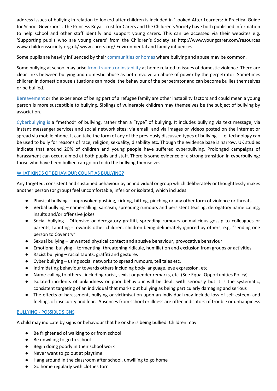address issues of bullying in relation to looked-after children is included in 'Looked After Learners: A Practical Guide for School Governors'. The Princess Royal Trust for Carers and the Children's Society have both published information to help school and other staff identify and support young carers. This can be accessed via their websites e.g. 'Supporting pupils who are young carers' from the Children's Society at http://www.youngcarer.com/resources www.childrenssociety.org.uk/ www.carers.org/ Environmental and family influences.

Some pupils are heavily influenced by their communities or homes where bullying and abuse may be common.

Some bullying at school may arise from trauma or instability at home related to issues of domestic violence. There are clear links between bullying and domestic abuse as both involve an abuse of power by the perpetrator. Sometimes children in domestic abuse situations can model the behaviour of the perpetrator and can become bullies themselves or be bullied.

Bereavement or the experience of being part of a refugee family are other instability factors and could mean a young person is more susceptible to bullying. Siblings of vulnerable children may themselves be the subject of bullying by association.

Cyberbullying is a "method" of bullying, rather than a "type" of bullying. It includes bullying via text message; via instant messenger services and social network sites; via email; and via images or videos posted on the internet or spread via mobile phone. It can take the form of any of the previously discussed types of bullying – i.e. technology can be used to bully for reasons of race, religion, sexuality, disability etc. Though the evidence base is narrow, UK studies indicate that around 20% of children and young people have suffered cyberbullying. Prolonged campaigns of harassment can occur, aimed at both pupils and staff. There is some evidence of a strong transition in cyberbullying: those who have been bullied can go on to do the bullying themselves.

# WHAT KINDS OF BEHAVIOUR COUNT AS BULLYING?

Any targeted, consistent and sustained behaviour by an individual or group which deliberately or thoughtlessly makes another person (or group) feel uncomfortable, inferior or isolated, which includes:

- Physical bullying unprovoked pushing, kicking, hitting, pinching or any other form of violence or threats
- Verbal bullying name-calling, sarcasm, spreading rumours and persistent teasing, derogatory name calling, insults and/or offensive jokes
- Social bullying Offensive or derogatory graffiti, spreading rumours or malicious gossip to colleagues or parents, taunting - towards other children, children being deliberately ignored by others, e.g. "sending one person to Coventry"
- Sexual bullying unwanted physical contact and abusive behaviour, provocative behaviour
- Emotional bullying tormenting, threatening ridicule, humiliation and exclusion from groups or activities
- Racist bullying racial taunts, graffiti and gestures
- Cyber bullying using social networks to spread rumours, tell tales etc.
- Intimidating behaviour towards others including body language, eye expression, etc.
- Name-calling to others including racist, sexist or gender remarks, etc. (See Equal Opportunities Policy)
- Isolated incidents of unkindness or poor behaviour will be dealt with seriously but it is the systematic, consistent targeting of an individual that marks out bullying as being particularly damaging and serious
- The effects of harassment, bullying or victimisation upon an individual may include loss of self esteem and feelings of insecurity and fear. Absences from school or illness are often indicators of trouble or unhappiness

# BULLYING - POSSIBLE SIGNS

A child may indicate by signs or behaviour that he or she is being bullied. Children may:

- Be frightened of walking to or from school
- Be unwilling to go to school
- Begin doing poorly in their school work
- Never want to go out at playtime
- Hang around in the classroom after school, unwilling to go home
- Go home regularly with clothes torn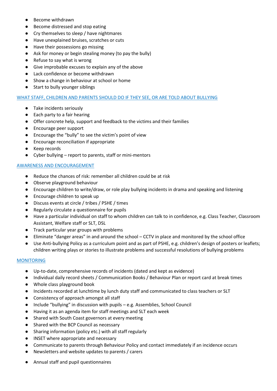- Become withdrawn
- Become distressed and stop eating
- Cry themselves to sleep / have nightmares
- Have unexplained bruises, scratches or cuts
- Have their possessions go missing
- Ask for money or begin stealing money (to pay the bully)
- Refuse to say what is wrong
- Give improbable excuses to explain any of the above
- Lack confidence or become withdrawn
- Show a change in behaviour at school or home
- Start to bully younger siblings

# WHAT STAFF, CHILDREN AND PARENTS SHOULD DO IF THEY SEE, OR ARE TOLD ABOUT BULLYING

- Take incidents seriously
- Each party to a fair hearing
- Offer concrete help, support and feedback to the victims and their families
- Encourage peer support
- Encourage the "bully" to see the victim's point of view
- Encourage reconciliation if appropriate
- Keep records
- Cyber bullying report to parents, staff or mini-mentors

# AWARENESS AND ENCOURAGEMENT

- Reduce the chances of risk: remember all children could be at risk
- Observe playground behaviour
- Encourage children to write/draw, or role play bullying incidents in drama and speaking and listening
- Encourage children to speak up
- Discuss events at circle / tribes / PSHE / times
- Regularly circulate a questionnaire for pupils
- Have a particular individual on staff to whom children can talk to in confidence, e.g. Class Teacher, Classroom Assistant, Welfare staff or SLT, DSL
- Track particular year groups with problems
- Eliminate "danger areas" in and around the school CCTV in place and monitored by the school office
- Use Anti-bullying Policy as a curriculum point and as part of PSHE, e.g. children's design of posters or leaflets; children writing plays or stories to illustrate problems and successful resolutions of bullying problems

# **MONITORING**

- Up-to-date, comprehensive records of incidents (dated and kept as evidence)
- Individual daily record sheets / Communication Books / Behaviour Plan or report card at break times
- Whole class playground book
- Incidents recorded at lunchtime by lunch duty staff and communicated to class teachers or SLT
- Consistency of approach amongst all staff
- Include "bullying" in discussion with pupils e.g. Assemblies, School Council
- Having it as an agenda item for staff meetings and SLT each week
- Shared with South Coast governors at every meeting
- Shared with the BCP Council as necessary
- Sharing information (policy etc.) with all staff regularly
- INSET where appropriate and necessary
- Communicate to parents through Behaviour Policy and contact immediately if an incidence occurs
- Newsletters and website updates to parents / carers
- Annual staff and pupil questionnaires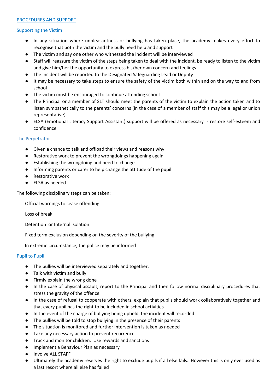#### PROCEDURES AND SUPPORT

#### Supporting the Victim

- In any situation where unpleasantness or bullying has taken place, the academy makes every effort to recognise that both the victim and the bully need help and support
- The victim and say one other who witnessed the incident will be interviewed
- Staff will reassure the victim of the steps being taken to deal with the incident, be ready to listen to the victim and give him/her the opportunity to express his/her own concern and feelings
- The incident will be reported to the Designated Safeguarding Lead or Deputy
- It may be necessary to take steps to ensure the safety of the victim both within and on the way to and from school
- The victim must be encouraged to continue attending school
- The Principal or a member of SLT should meet the parents of the victim to explain the action taken and to listen sympathetically to the parents' concerns (in the case of a member of staff this may be a legal or union representative)
- ELSA (Emotional Literacy Support Assistant) support will be offered as necessary restore self-esteem and confidence

### The Perpetrator

- Given a chance to talk and offload their views and reasons why
- Restorative work to prevent the wrongdoings happening again
- Establishing the wrongdoing and need to change
- Informing parents or carer to help change the attitude of the pupil
- Restorative work
- ELSA as needed

The following disciplinary steps can be taken:

Official warnings to cease offending

Loss of break

Detention or Internal isolation

Fixed term exclusion depending on the severity of the bullying

In extreme circumstance, the police may be informed

### Pupil to Pupil

- The bullies will be interviewed separately and together.
- Talk with victim and bully
- Firmly explain the wrong done
- In the case of physical assault, report to the Principal and then follow normal disciplinary procedures that stress the gravity of the offence
- In the case of refusal to cooperate with others, explain that pupils should work collaboratively together and that every pupil has the right to be included in school activities
- In the event of the charge of bullying being upheld, the incident will recorded
- The bullies will be told to stop bullying in the presence of their parents
- The situation is monitored and further intervention is taken as needed
- Take any necessary action to prevent recurrence
- Track and monitor children. Use rewards and sanctions
- Implement a Behaviour Plan as necessary
- Involve ALL STAFF
- Ultimately the academy reserves the right to exclude pupils if all else fails. However this is only ever used as a last resort where all else has failed